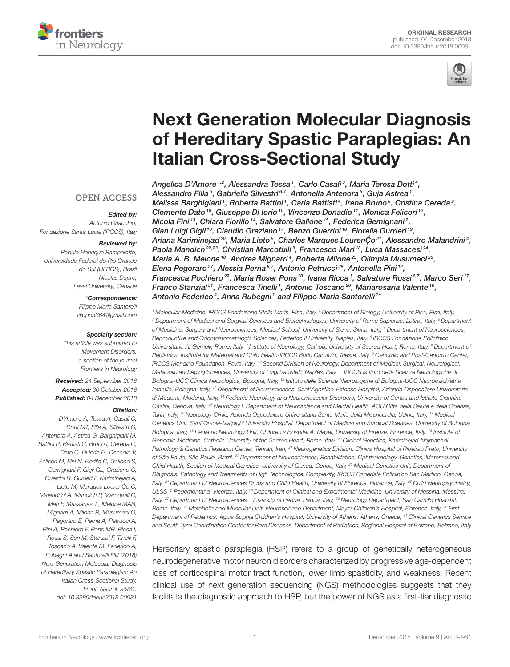



# Next Generation Molecular Diagnosis [of Hereditary Spastic Paraplegias: An](https://www.frontiersin.org/articles/10.3389/fneur.2018.00981/full) Italian Cross-Sectional Study

Angelica D'Amore 1,2, Alessandra Tessa 1, Carlo Casali 3, Maria Teresa Dotti 4, [Alessandro Filla](http://loop.frontiersin.org/people/602351/overview)<sup>5</sup>, [Gabriella Silvestri](http://loop.frontiersin.org/people/576245/overview)<sup>6,7</sup>, [Antonella Antenora](http://loop.frontiersin.org/people/61464/overview)<sup>5</sup>, Guja Astrea<sup>1</sup>, Melissa Barghigiani <sup>1</sup>, Roberta Battini <sup>1</sup>, Carla Battisti <sup>4</sup>, Irene Bruno <sup>8</sup>, [Cristina Cereda](http://loop.frontiersin.org/people/175122/overview) <sup>9</sup>, [Clemente Dato](http://loop.frontiersin.org/people/624702/overview)  $^{10}$ , Giuseppe Di Iorio  $^{10}$ , [Vincenzo Donadio](http://loop.frontiersin.org/people/123758/overview)  $^{11}$ , Monica Felicori  $^{12}$ , Nicola Fini<sup>13</sup>, [Chiara Fiorillo](http://loop.frontiersin.org/people/606907/overview)<sup>14</sup>, [Salvatore Gallone](http://loop.frontiersin.org/people/619255/overview)<sup>15</sup>, Federica Gemignani<sup>2</sup>, Gian Luigi Gigli <sup>16</sup>, [Claudio Graziano](http://loop.frontiersin.org/people/604004/overview) <sup>17</sup>, Renzo Guerrini <sup>18</sup>, Fiorella Gurrieri <sup>19</sup>, Ariana Kariminejad<sup>20</sup>, Maria Lieto<sup>5</sup>, Charles Marques LourenÇo<sup>21</sup>, Alessandro Malandrini<sup>4</sup>, Paola Mandich $^{22,23}$ , Christian Marcotulli $^3$ , Francesco Mari $\ ^{18}$ , [Luca Massacesi](http://loop.frontiersin.org/people/431075/overview) $^{24},$ Maria A. B. Melone <sup>10</sup>, Andrea Mignarri<sup>4</sup>, Roberta Milone <sup>25</sup>, Olimpia Musumeci <sup>26</sup>, Elena Pegoraro<sup>27</sup>, Alessia Perna<sup>6,7</sup>, [Antonio Petrucci](http://loop.frontiersin.org/people/618987/overview)<sup>28</sup>, Antonella Pini<sup>12</sup>, Francesca Pochiero $^{29}$ , Maria Roser Pons $^{30}$ , Ivana Ricca  $^1$ , Salvatore Rossi $^{6,7}$ , Marco Seri $^{17}$ , Franco Stanzial<sup>31</sup>, Francesca Tinelli<sup>1</sup>, [Antonio Toscano](http://loop.frontiersin.org/people/619910/overview)<sup>26</sup>, Mariarosaria Valente<sup>16</sup>, [Antonio Federico](http://loop.frontiersin.org/people/36577/overview)<sup>4</sup>, Anna Rubegni<sup>1</sup> and [Filippo Maria Santorelli](http://loop.frontiersin.org/people/181238/overview)<sup>1</sup>\*

<sup>1</sup> Molecular Medicine, IRCCS Fondazione Stella Maris, Pisa, Italy, <sup>2</sup> Department of Biology, University of Pisa, Pisa, Italy, <sup>3</sup> Department of Medical and Surgical Sciences and Biotechnologies, University of Rome Sapienza, Latina, Italy, <sup>4</sup> Department of Medicine, Surgery and Neurosciences, Medical School, University of Siena, Siena, Italy, <sup>5</sup> Department of Neurosciences, Reproductive and Odontostomatologic Sciences, Federico II University, Naples, Italy, <sup>s</sup> IRCCS Fondazione Policlinico Universitario A. Gemelli, Rome, Italy, <sup>7</sup> Institute of Neurology, Catholic University of Sacred Heart, Rome, Italy, <sup>8</sup> Department oi Pediatrics, Institute for Maternal and Child Health-IRCCS Burlo Garofolo, Trieste, Italy, <sup>9</sup> Genomic and Post-Genomic Center, IRCCS Mondino Foundation, Pavia, Italy, <sup>10</sup> Second Division of Neurology, Department of Medical, Surgical, Neurological, Metabolic and Aging Sciences, University of Luigi Vanvitelli, Naples, Italy, <sup>11</sup> IRCCS Istituto delle Scienze Neurologiche di Bologna-UOC Clinica Neurologica, Bologna, Italy, <sup>12</sup> Istituto delle Scienze Neurologiche di Bologna-UOC Neuropsichiatria Infantile, Bologna, Italy, <sup>13</sup> Department of Neurosciences, Sant'Agostino-Estense Hospital, Azienda Ospedaliero Universitaria di Modena, Modena, Italy, <sup>14</sup> Pediatric Neurology and Neuromuscular Disorders, University of Genoa and Istituto Giannina Gaslini, Genova, Italy, <sup>15</sup> Neurology I, Department of Neuroscience and Mental Health, AOU Città della Salute e della Scienza, Turin, Italy, <sup>16</sup> Neurology Clinic, Azienda Ospedaliero Universitaria Santa Maria della Misericordia, Udine, Italy, <sup>17</sup> Medical Genetics Unit, Sant'Orsola-Malpighi University Hospital, Department of Medical and Surgical Sciences, University of Bologna, Bologna, Italy, <sup>18</sup> Pediatric Neurology Unit, Children's Hospital A. Meyer, University of Firenze, Florence, Italy, <sup>19</sup> Institute of Genomic Medicine, Catholic University of the Sacred Heart, Rome, Italy, <sup>20</sup> Clinical Genetics, Kariminejad-Najmabadi Pathology & Genetics Research Center, Tehran, Iran, <sup>21</sup> Neurogenetics Division, Clinics Hospital of Ribeirão Preto, University of São Paulo, São Paulo, Brazil, <sup>22</sup> Department of Neurosciences, Rehabilitation, Ophthalmology, Genetics, Maternal and Child Health, Section of Medical Genetics, University of Genoa, Genoa, Italy, <sup>23</sup> Medical Genetics Unit, Department of Diagnosis, Pathology and Treatments of High Technological Complexity, IRCCS Ospedale Policlinico San Martino, Genoa, Italy, <sup>24</sup> Department of Neurosciences Drugs and Child Health, University of Florence, Florence, Italy, <sup>25</sup> Child Neuropsychiatry, ULSS 7 Pedemontana, Vicenza, Italy, <sup>26</sup> Department of Clinical and Experimental Medicine, University of Messina, Messina, Italy, <sup>27</sup> Department of Neurosciences, University of Padua, Padua, Italy, <sup>28</sup> Neurology Department, San Camillo Hospital, Rome, Italy, <sup>29</sup> Metabolic and Muscular Unit, Neuroscience Department, Meyer Children's Hospital, Florence, Italy, <sup>30</sup> First Department of Pediatrics, Aghia Sophia Children's Hospital, University of Athens, Athens, Greece, <sup>31</sup> Clinical Genetics Service and South Tyrol Coordination Center for Rare Diseases, Department of Pediatrics, Regional Hospital of Bolzano, Bolzano, Italy

Hereditary spastic paraplegia (HSP) refers to a group of genetically heterogeneous neurodegenerative motor neuron disorders characterized by progressive age-dependent loss of corticospinal motor tract function, lower limb spasticity, and weakness. Recent clinical use of next generation sequencing (NGS) methodologies suggests that they facilitate the diagnostic approach to HSP, but the power of NGS as a first-tier diagnostic

#### **OPEN ACCESS**

#### Edited by:

Antonio Orlacchio, Fondazione Santa Lucia (IRCCS), Italy

#### Reviewed by:

Pabulo Henrique Rampelotto, Universidade Federal do Rio Grande do Sul (UFRGS), Brazil Nicolas Dupre, Laval University, Canada

#### \*Correspondence:

Filippo Maria Santorelli [filippo3364@gmail.com](mailto:filippo3364@gmail.com)

#### Specialty section:

This article was submitted to Movement Disorders, a section of the journal Frontiers in Neurology

Received: 24 September 2018 Accepted: 30 October 2018 Published: 04 December 2018

#### Citation:

D'Amore A, Tessa A, Casali C, Dotti MT, Filla A, Silvestri G, Antenora A, Astrea G, Barghigiani M, Battini R, Battisti C, Bruno I, Cereda C, Dato C, Di Iorio G, Donadio V, Felicori M, Fini N, Fiorillo C, Gallone S, Gemignani F, Gigli GL, Graziano C, Guerrini R, Gurrieri F, Kariminejad A, Lieto M, Marques Louren Co C, Malandrini A, Mandich P, Marcotulli C, Mari F, Massacesi L, Melone MAB, Mignarri A, Milone R, Musumeci O, Pegoraro E, Perna A, Petrucci A, Pini A, Pochiero F, Pons MR, Ricca I, Rossi S, Seri M, Stanzial F, Tinelli F, Toscano A, Valente M, Federico A, Rubegni A and Santorelli FM (2018) Next Generation Molecular Diagnosis of Hereditary Spastic Paraplegias: An Italian Cross-Sectional Study. Front. Neurol. 9:981. doi: [10.3389/fneur.2018.00981](https://doi.org/10.3389/fneur.2018.00981)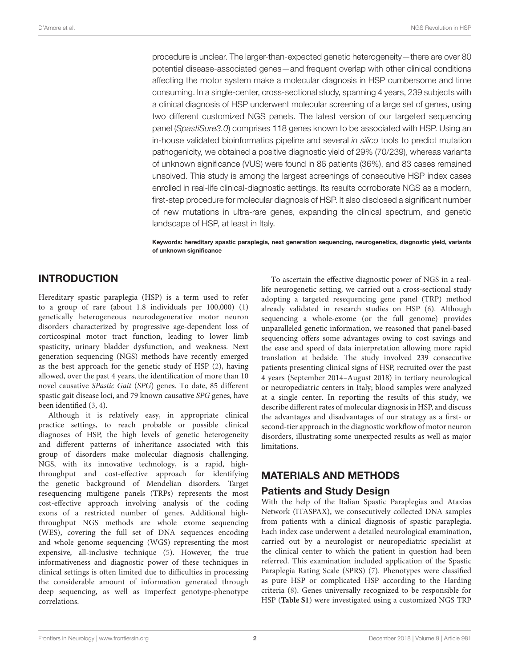procedure is unclear. The larger-than-expected genetic heterogeneity—there are over 80 potential disease-associated genes—and frequent overlap with other clinical conditions affecting the motor system make a molecular diagnosis in HSP cumbersome and time consuming. In a single-center, cross-sectional study, spanning 4 years, 239 subjects with a clinical diagnosis of HSP underwent molecular screening of a large set of genes, using two different customized NGS panels. The latest version of our targeted sequencing panel (SpastiSure3.0) comprises 118 genes known to be associated with HSP. Using an in-house validated bioinformatics pipeline and several in silico tools to predict mutation pathogenicity, we obtained a positive diagnostic yield of 29% (70/239), whereas variants of unknown significance (VUS) were found in 86 patients (36%), and 83 cases remained unsolved. This study is among the largest screenings of consecutive HSP index cases enrolled in real-life clinical-diagnostic settings. Its results corroborate NGS as a modern, first-step procedure for molecular diagnosis of HSP. It also disclosed a significant number of new mutations in ultra-rare genes, expanding the clinical spectrum, and genetic landscape of HSP, at least in Italy.

Keywords: hereditary spastic paraplegia, next generation sequencing, neurogenetics, diagnostic yield, variants of unknown significance

### INTRODUCTION

Hereditary spastic paraplegia (HSP) is a term used to refer to a group of rare (about 1.8 individuals per 100,000) [\(1\)](#page-10-0) genetically heterogeneous neurodegenerative motor neuron disorders characterized by progressive age-dependent loss of corticospinal motor tract function, leading to lower limb spasticity, urinary bladder dysfunction, and weakness. Next generation sequencing (NGS) methods have recently emerged as the best approach for the genetic study of HSP [\(2\)](#page-10-1), having allowed, over the past 4 years, the identification of more than 10 novel causative SPastic Gait (SPG) genes. To date, 85 different spastic gait disease loci, and 79 known causative SPG genes, have been identified [\(3,](#page-10-2) [4\)](#page-10-3).

Although it is relatively easy, in appropriate clinical practice settings, to reach probable or possible clinical diagnoses of HSP, the high levels of genetic heterogeneity and different patterns of inheritance associated with this group of disorders make molecular diagnosis challenging. NGS, with its innovative technology, is a rapid, highthroughput and cost-effective approach for identifying the genetic background of Mendelian disorders. Target resequencing multigene panels (TRPs) represents the most cost-effective approach involving analysis of the coding exons of a restricted number of genes. Additional highthroughput NGS methods are whole exome sequencing (WES), covering the full set of DNA sequences encoding and whole genome sequencing (WGS) representing the most expensive, all-inclusive technique [\(5\)](#page-10-4). However, the true informativeness and diagnostic power of these techniques in clinical settings is often limited due to difficulties in processing the considerable amount of information generated through deep sequencing, as well as imperfect genotype-phenotype correlations.

To ascertain the effective diagnostic power of NGS in a reallife neurogenetic setting, we carried out a cross-sectional study adopting a targeted resequencing gene panel (TRP) method already validated in research studies on HSP [\(6\)](#page-10-5). Although sequencing a whole-exome (or the full genome) provides unparalleled genetic information, we reasoned that panel-based sequencing offers some advantages owing to cost savings and the ease and speed of data interpretation allowing more rapid translation at bedside. The study involved 239 consecutive patients presenting clinical signs of HSP, recruited over the past 4 years (September 2014–August 2018) in tertiary neurological or neuropediatric centers in Italy; blood samples were analyzed at a single center. In reporting the results of this study, we describe different rates of molecular diagnosis in HSP, and discuss the advantages and disadvantages of our strategy as a first- or second-tier approach in the diagnostic workflow of motor neuron disorders, illustrating some unexpected results as well as major limitations.

# MATERIALS AND METHODS

### Patients and Study Design

With the help of the Italian Spastic Paraplegias and Ataxias Network (ITASPAX), we consecutively collected DNA samples from patients with a clinical diagnosis of spastic paraplegia. Each index case underwent a detailed neurological examination, carried out by a neurologist or neuropediatric specialist at the clinical center to which the patient in question had been referred. This examination included application of the Spastic Paraplegia Rating Scale (SPRS) [\(7\)](#page-10-6). Phenotypes were classified as pure HSP or complicated HSP according to the Harding criteria [\(8\)](#page-10-7). Genes universally recognized to be responsible for HSP (**[Table S1](#page-10-8)**) were investigated using a customized NGS TRP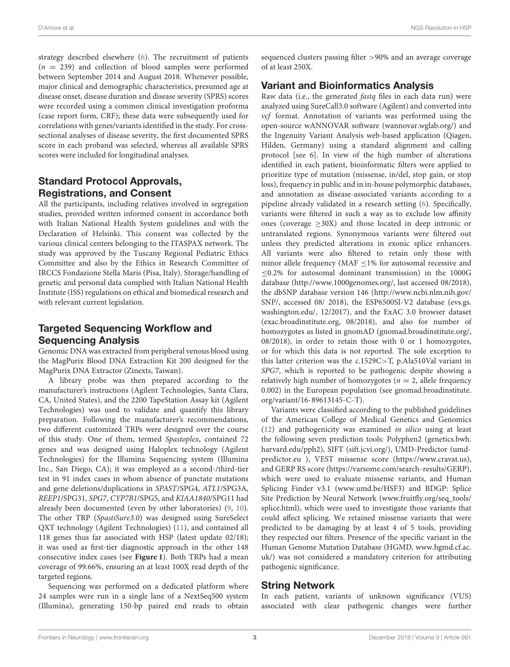strategy described elsewhere [\(6\)](#page-10-5). The recruitment of patients  $(n = 239)$  and collection of blood samples were performed between September 2014 and August 2018. Whenever possible, major clinical and demographic characteristics, presumed age at disease onset, disease duration and disease severity (SPRS) scores were recorded using a common clinical investigation proforma (case report form, CRF); these data were subsequently used for correlations with genes/variants identified in the study. For crosssectional analyses of disease severity, the first documented SPRS score in each proband was selected, whereas all available SPRS scores were included for longitudinal analyses.

# Standard Protocol Approvals, Registrations, and Consent

All the participants, including relatives involved in segregation studies, provided written informed consent in accordance both with Italian National Health System guidelines and with the Declaration of Helsinki. This consent was collected by the various clinical centers belonging to the ITASPAX network. The study was approved by the Tuscany Regional Pediatric Ethics Committee and also by the Ethics in Research Committee of IRCCS Fondazione Stella Maris (Pisa, Italy). Storage/handling of genetic and personal data complied with Italian National Health Institute (ISS) regulations on ethical and biomedical research and with relevant current legislation.

# Targeted Sequencing Workflow and Sequencing Analysis

Genomic DNA was extracted from peripheral venous blood using the MagPurix Blood DNA Extraction Kit 200 designed for the MagPurix DNA Extractor (Zinexts, Taiwan).

A library probe was then prepared according to the manufacturer's instructions (Agilent Technologies, Santa Clara, CA, United States), and the 2200 TapeStation Assay kit (Agilent Technologies) was used to validate and quantify this library preparation. Following the manufacturer's recommendations, two different customized TRPs were designed over the course of this study. One of them, termed Spastoplex, contained 72 genes and was designed using Haloplex technology (Agilent Technologies) for the Illumina Sequencing system (Illumina Inc., San Diego, CA); it was employed as a second-/third-tier test in 91 index cases in whom absence of punctate mutations and gene deletions/duplications in SPAST/SPG4, ATL1/SPG3A, REEP1/SPG31, SPG7, CYP7B1/SPG5, and KIAA1840/SPG11 had already been documented (even by other laboratories) [\(9,](#page-10-9) [10\)](#page-10-10). The other TRP (SpastiSure3.0) was designed using SureSelect QXT technology (Agilent Technologies) [\(11\)](#page-10-11), and contained all 118 genes thus far associated with HSP (latest update 02/18); it was used as first-tier diagnostic approach in the other 148 consecutive index cases (see **[Figure 1](#page-3-0)**). Both TRPs had a mean coverage of 99.66%, ensuring an at least 100X read depth of the targeted regions.

Sequencing was performed on a dedicated platform where 24 samples were run in a single lane of a NextSeq500 system (Illumina), generating 150-bp paired end reads to obtain sequenced clusters passing filter >90% and an average coverage of at least 250X.

## Variant and Bioinformatics Analysis

Raw data (i.e., the generated *fastq* files in each data run) were analyzed using SureCall3.0 software (Agilent) and converted into vcf format. Annotation of variants was performed using the open-source wANNOVAR software [\(wannovar.wglab.org/\)](wannovar.wglab.org/) and the Ingenuity Variant Analysis web-based application (Qiagen, Hilden, Germany) using a standard alignment and calling protocol [see 6]. In view of the high number of alterations identified in each patient, bioinformatic filters were applied to prioritize type of mutation (missense, in/del, stop gain, or stop loss), frequency in public and in in-house polymorphic databases, and annotation as disease-associated variants according to a pipeline already validated in a research setting [\(6\)](#page-10-5). Specifically, variants were filtered in such a way as to exclude low affinity ones (coverage  $\geq$ 30X) and those located in deep intronic or untranslated regions. Synonymous variants were filtered out unless they predicted alterations in exonic splice enhancers. All variants were also filtered to retain only those with minor allele frequency (MAF ≤1% for autosomal recessive and ≤0.2% for autosomal dominant transmission) in the 1000G database [\(http://www.1000genomes.org/,](http://www.1000genomes.org/) last accessed 08/2018), the dbSNP database version 146 [\(http://www.ncbi.nlm.nih.gov/](http://www.ncbi.nlm.nih.gov/SNP/) [SNP/,](http://www.ncbi.nlm.nih.gov/SNP/) accessed 08/ 2018), the ESP6500SI-V2 database [\(evs.gs.](evs.gs.washington.edu/) [washington.edu/,](evs.gs.washington.edu/) 12/2017), and the ExAC 3.0 browser dataset [\(exac.broadinstitute.org,](exac.broadinstitute.org) 08/2018), and also for number of homozygotes as listed in gnomAD [\(gnomad.broadinstitute.org/,](gnomad.broadinstitute.org/) 08/2018), in order to retain those with 0 or 1 homozygotes, or for which this data is not reported. The sole exception to this latter criterion was the c.1529C>T, p.Ala510Val variant in SPG7, which is reported to be pathogenic despite showing a relatively high number of homozygotes ( $n = 2$ , allele frequency 0.002) in the European population (see [gnomad.broadinstitute.](gnomad.broadinstitute.org/variant/16-89613145-C-T) [org/variant/16-89613145-C-T\)](gnomad.broadinstitute.org/variant/16-89613145-C-T).

Variants were classified according to the published guidelines of the American College of Medical Genetics and Genomics [\(12\)](#page-10-12) and pathogenicity was examined in silico using at least the following seven prediction tools: Polyphen2 [\(genetics.bwh.](genetics.bwh.harvard.edu/pph2) [harvard.edu/pph2\)](genetics.bwh.harvard.edu/pph2), SIFT [\(sift.jcvi.org/\)](sift.jcvi.org/), UMD-Predictor [\(umd](umd-predictor.eu)[predictor.eu](umd-predictor.eu) ), VEST missense score [\(https://www.cravat.us\)](https://www.cravat.us), and GERP RS score [\(https://varsome.com/search-results/GERP\)](https://varsome.com/search-results/GERP), which were used to evaluate missense variants, and Human Splicing Finder v3.1 [\(www.umd.be/H](www.umd.be/)SF3) and BDGP: Splice Site Prediction by Neural Network [\(www.fruitfly.org/seq\\_tools/](www.fruitfly.org/seq_tools/splice.html) [splice.html\)](www.fruitfly.org/seq_tools/splice.html), which were used to investigate those variants that could affect splicing. We retained missense variants that were predicted to be damaging by at least 4 of 5 tools, providing they respected our filters. Presence of the specific variant in the Human Genome Mutation Database (HGMD, [www.hgmd.cf.ac.](www.hgmd.cf.ac.uk/) [uk/\)](www.hgmd.cf.ac.uk/) was not considered a mandatory criterion for attributing pathogenic significance.

### String Network

In each patient, variants of unknown significance (VUS) associated with clear pathogenic changes were further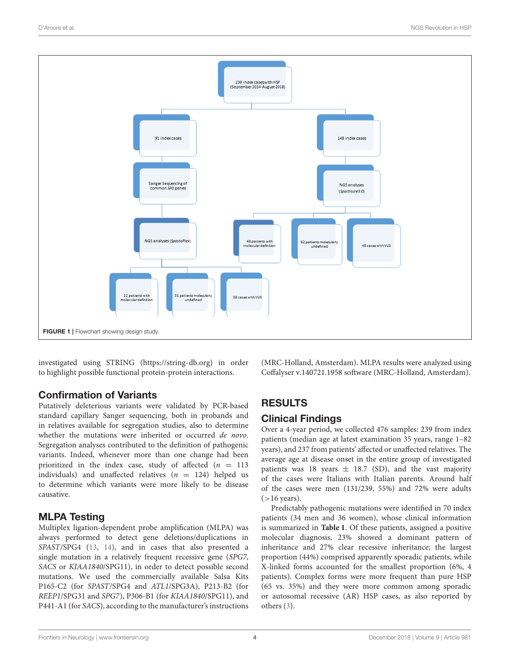

<span id="page-3-0"></span>investigated using STRING [\(https://string-db.org\)](https://string-db.org) in order to highlight possible functional protein-protein interactions.

# Confirmation of Variants

Putatively deleterious variants were validated by PCR-based standard capillary Sanger sequencing, both in probands and in relatives available for segregation studies, also to determine whether the mutations were inherited or occurred de novo. Segregation analyses contributed to the definition of pathogenic variants. Indeed, whenever more than one change had been prioritized in the index case, study of affected  $(n = 113)$ individuals) and unaffected relatives ( $n = 124$ ) helped us to determine which variants were more likely to be disease causative.

# MLPA Testing

Multiplex ligation-dependent probe amplification (MLPA) was always performed to detect gene deletions/duplications in SPAST/SPG4 [\(13,](#page-11-0) [14\)](#page-11-1), and in cases that also presented a single mutation in a relatively frequent recessive gene (SPG7, SACS or KIAA1840/SPG11), in order to detect possible second mutations. We used the commercially available Salsa Kits P165-C2 (for SPAST/SPG4 and ATL1/SPG3A), P213-B2 (for REEP1/SPG31 and SPG7), P306-B1 (for KIAA1840/SPG11), and P441-A1 (for SACS), according to the manufacturer's instructions (MRC-Holland, Amsterdam). MLPA results were analyzed using Coffalyser v.140721.1958 software (MRC-Holland, Amsterdam).

# RESULTS

# Clinical Findings

Over a 4-year period, we collected 476 samples: 239 from index patients (median age at latest examination 35 years, range 1–82 years), and 237 from patients' affected or unaffected relatives. The average age at disease onset in the entire group of investigated patients was 18 years  $\pm$  18.7 (SD), and the vast majority of the cases were Italians with Italian parents. Around half of the cases were men (131/239, 55%) and 72% were adults  $(>16$  years).

Predictably pathogenic mutations were identified in 70 index patients (34 men and 36 women), whose clinical information is summarized in **[Table 1](#page-4-0)**. Of these patients, assigned a positive molecular diagnosis, 23% showed a dominant pattern of inheritance and 27% clear recessive inheritance; the largest proportion (44%) comprised apparently sporadic patients, while X-linked forms accounted for the smallest proportion (6%, 4 patients). Complex forms were more frequent than pure HSP (65 vs. 35%) and they were more common among sporadic or autosomal recessive (AR) HSP cases, as also reported by others [\(3\)](#page-10-2).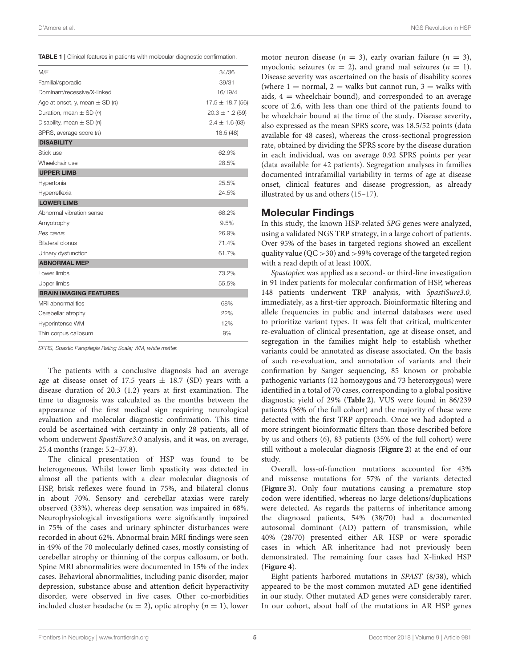<span id="page-4-0"></span>

|  |  |  | <b>TABLE 1</b>   Clinical features in patients with molecular diagnostic confirmation. |
|--|--|--|----------------------------------------------------------------------------------------|
|  |  |  |                                                                                        |

| M/F                                | 34/36                |
|------------------------------------|----------------------|
| Familial/sporadic                  | 39/31                |
| Dominant/recessive/X-linked        | 16/19/4              |
| Age at onset, y, mean $\pm$ SD (n) | $17.5 \pm 18.7$ (56) |
| Duration, mean $\pm$ SD (n)        | $20.3 \pm 1.2$ (59)  |
| Disability, mean $\pm$ SD (n)      | $2.4 \pm 1.6$ (63)   |
| SPRS, average score (n)            | 18.5(48)             |
| <b>DISABILITY</b>                  |                      |
| Stick use                          | 62.9%                |
| Wheelchair use                     | 28.5%                |
| <b>UPPER LIMB</b>                  |                      |
| Hypertonia                         | 25.5%                |
| Hyperreflexia                      | 24.5%                |
| <b>LOWER LIMB</b>                  |                      |
| Abnormal vibration sense           | 68.2%                |
| Amyotrophy                         | 9.5%                 |
| Pes cavus                          | 26.9%                |
| <b>Bilateral clonus</b>            | 71.4%                |
| Urinary dysfunction                | 61.7%                |
| <b>ABNORMAL MEP</b>                |                      |
| Lower limbs                        | 73.2%                |
| Upper limbs                        | 55.5%                |
| <b>BRAIN IMAGING FEATURES</b>      |                      |
| MRI abnormalities                  | 68%                  |
| Cerebellar atrophy                 | 22%                  |
| Hyperintense WM                    | 12%                  |
| Thin corpus callosum               | 9%                   |
|                                    |                      |

SPRS, Spastic Paraplegia Rating Scale; WM, white matter.

The patients with a conclusive diagnosis had an average age at disease onset of 17.5 years  $\pm$  18.7 (SD) years with a disease duration of 20.3 (1.2) years at first examination. The time to diagnosis was calculated as the months between the appearance of the first medical sign requiring neurological evaluation and molecular diagnostic confirmation. This time could be ascertained with certainty in only 28 patients, all of whom underwent SpastiSure3.0 analysis, and it was, on average, 25.4 months (range: 5.2–37.8).

The clinical presentation of HSP was found to be heterogeneous. Whilst lower limb spasticity was detected in almost all the patients with a clear molecular diagnosis of HSP, brisk reflexes were found in 75%, and bilateral clonus in about 70%. Sensory and cerebellar ataxias were rarely observed (33%), whereas deep sensation was impaired in 68%. Neurophysiological investigations were significantly impaired in 75% of the cases and urinary sphincter disturbances were recorded in about 62%. Abnormal brain MRI findings were seen in 49% of the 70 molecularly defined cases, mostly consisting of cerebellar atrophy or thinning of the corpus callosum, or both. Spine MRI abnormalities were documented in 15% of the index cases. Behavioral abnormalities, including panic disorder, major depression, substance abuse and attention deficit hyperactivity disorder, were observed in five cases. Other co-morbidities included cluster headache ( $n = 2$ ), optic atrophy ( $n = 1$ ), lower motor neuron disease ( $n = 3$ ), early ovarian failure ( $n = 3$ ), myoclonic seizures ( $n = 2$ ), and grand mal seizures ( $n = 1$ ). Disease severity was ascertained on the basis of disability scores (where  $1 =$  normal,  $2 =$  walks but cannot run,  $3 =$  walks with aids,  $4 =$  wheelchair bound), and corresponded to an average score of 2.6, with less than one third of the patients found to be wheelchair bound at the time of the study. Disease severity, also expressed as the mean SPRS score, was 18.5/52 points (data available for 48 cases), whereas the cross-sectional progression rate, obtained by dividing the SPRS score by the disease duration in each individual, was on average 0.92 SPRS points per year (data available for 42 patients). Segregation analyses in families documented intrafamilial variability in terms of age at disease onset, clinical features and disease progression, as already illustrated by us and others [\(15](#page-11-2)[–17\)](#page-11-3).

#### Molecular Findings

In this study, the known HSP-related SPG genes were analyzed, using a validated NGS TRP strategy, in a large cohort of patients. Over 95% of the bases in targeted regions showed an excellent quality value ( $QC > 30$ ) and  $>99\%$  coverage of the targeted region with a read depth of at least 100X.

Spastoplex was applied as a second- or third-line investigation in 91 index patients for molecular confirmation of HSP, whereas 148 patients underwent TRP analysis, with SpastiSure3.0, immediately, as a first-tier approach. Bioinformatic filtering and allele frequencies in public and internal databases were used to prioritize variant types. It was felt that critical, multicenter re-evaluation of clinical presentation, age at disease onset, and segregation in the families might help to establish whether variants could be annotated as disease associated. On the basis of such re-evaluation, and annotation of variants and their confirmation by Sanger sequencing, 85 known or probable pathogenic variants (12 homozygous and 73 heterozygous) were identified in a total of 70 cases, corresponding to a global positive diagnostic yield of 29% (**[Table 2](#page-5-0)**). VUS were found in 86/239 patients (36% of the full cohort) and the majority of these were detected with the first TRP approach. Once we had adopted a more stringent bioinformatic filters than those described before by us and others [\(6\)](#page-10-5), 83 patients (35% of the full cohort) were still without a molecular diagnosis (**[Figure 2](#page-7-0)**) at the end of our study.

Overall, loss-of-function mutations accounted for 43% and missense mutations for 57% of the variants detected (**[Figure 3](#page-7-1)**). Only four mutations causing a premature stop codon were identified, whereas no large deletions/duplications were detected. As regards the patterns of inheritance among the diagnosed patients, 54% (38/70) had a documented autosomal dominant (AD) pattern of transmission, while 40% (28/70) presented either AR HSP or were sporadic cases in which AR inheritance had not previously been demonstrated. The remaining four cases had X-linked HSP (**[Figure 4](#page-7-2)**).

Eight patients harbored mutations in SPAST (8/38), which appeared to be the most common mutated AD gene identified in our study. Other mutated AD genes were considerably rarer. In our cohort, about half of the mutations in AR HSP genes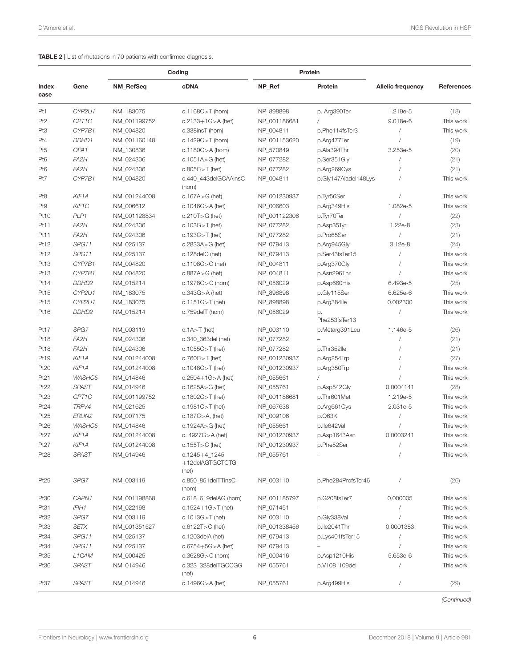#### <span id="page-5-0"></span>TABLE 2 | List of mutations in 70 patients with confirmed diagnosis.

|                  |                    | Coding       |                                               |              | Protein              |                          |            |
|------------------|--------------------|--------------|-----------------------------------------------|--------------|----------------------|--------------------------|------------|
| Index<br>case    | Gene               | NM_RefSeq    | <b>cDNA</b>                                   | NP_Ref       | Protein              | <b>Allelic frequency</b> | References |
| Pt1              | CYP2U1             | NM_183075    | c.1168C $>$ T (hom)                           | NP_898898    | p. Arg390Ter         | 1.219e-5                 | (18)       |
| Pt <sub>2</sub>  | CPT1C              | NM_001199752 | $c.2133 + 1G > A$ (het)                       | NP_001186681 | $\sqrt{2}$           | 9.018e-6                 | This work  |
| Pt3              | CYP7B1             | NM_004820    | c.338insT (hom)                               | NP_004811    | p.Phe114fsTer3       | $\sqrt{2}$               | This work  |
| Pt4              | DDHD1              | NM_001160148 | c.1429C $>$ T (hom)                           | NP_001153620 | p.Arg477Ter          |                          | (19)       |
| Pt5              | OPA <sub>1</sub>   | NM_130836    | c.1180 $G > A$ (hom)                          | NP_570849    | p.Ala394Thr          | 3.253e-5                 | (20)       |
| Pt6              | FA2H               | NM_024306    | c.1051A $>$ G (het)                           | NP_077282    | p.Ser351Gly          | $\sqrt{2}$               | (21)       |
| Pt6              | FA2H               | NM_024306    | $c.805C > T$ (het)                            | NP_077282    | p.Arg269Cys          |                          | (21)       |
| Pt7              | CYP7B1             | NM_004820    | c.440_443delGCAAinsC<br>(hom)                 | NP_004811    | p.Gly147Aladel148Lys |                          | This work  |
| Pt8              | KIF1A              | NM_001244008 | $c.167A > G$ (het)                            | NP_001230937 | p.Tyr56Ser           | $\sqrt{2}$               | This work  |
| Pt9              | KIF1C              | NM_006612    | c.1046G $>$ A (het)                           | NP_006603    | p.Arg349His          | 1.082e-5                 | This work  |
| Pt <sub>10</sub> | PLP1               | NM_001128834 | $c.210T > G$ (het)                            | NP_001122306 | p.Tyr70Ter           | $\sqrt{2}$               | (22)       |
| Pt11             | FA2H               | NM_024306    | $c.103G > T$ (het)                            | NP_077282    | p.Asp35Tyr           | 1,22e-8                  | (23)       |
| Pt11             | FA2H               | NM_024306    | c.193C $>$ T (het)                            | NP_077282    | p.Pro65Ser           | $\sqrt{2}$               | (21)       |
| Pt12             | SPG11              | NM_025137    | c.2833A $>$ G (het)                           | NP_079413    | p.Arg945Gly          | 3,12e-8                  | (24)       |
| Pt12             | SPG11              | NM_025137    | c.128delC (het)                               | NP_079413    | p.Ser43fsTer15       | $\sqrt{2}$               | This work  |
| Pt13             | CYP7B1             | NM_004820    | c.1108C $>$ G (het)                           | NP_004811    | p.Arg370Gly          |                          | This work  |
| Pt13             | CYP7B1             | NM_004820    | $c.887A > G$ (het)                            | NP_004811    | p.Asn296Thr          |                          | This work  |
| Pt14             | DDHD <sub>2</sub>  | NM 015214    | c.1978 $G > C$ (hom)                          | NP_056029    | p.Asp660His          | 6.493e-5                 | (25)       |
| Pt15             | CYP2U1             | NM_183075    | $c.343G > A$ (het)                            | NP_898898    | p.Gly115Ser          | 6.625e-6                 | This work  |
| Pt15             | CYP2U1             | NM_183075    | $c.1151G > T$ (het)                           | NP_898898    | p.Arg384lle          | 0.002300                 | This work  |
| Pt16             | DDHD <sub>2</sub>  | NM_015214    | c.759delT (hom)                               | NP 056029    | р.<br>Phe253fsTer13  | $\overline{1}$           | This work  |
| Pt17             | SPG7               | NM_003119    | $c.1A > T$ (het)                              | NP_003110    | p.Metarg391Leu       | 1.146e-5                 | (26)       |
| Pt18             | FA2H               | NM_024306    | c.340_363del (het)                            | NP_077282    |                      |                          | (21)       |
| Pt18             | FA2H               | NM_024306    | c.1055 $C > T$ (het)                          | NP_077282    | p.Thr352lle          |                          | (21)       |
| Pt19             | KIF1A              | NM_001244008 | $c.760C > T$ (het)                            | NP_001230937 | p.Arg254Trp          |                          | (27)       |
| Pt20             | KIF1A              | NM_001244008 | c.1048C $>$ T (het)                           | NP_001230937 | p.Arg350Trp          |                          | This work  |
| Pt21             | WASHC5             | NM_014846    | c.2504+1G>A (het)                             | NP_055661    |                      |                          | This work  |
| Pt22             | <b>SPAST</b>       | NM_014946    | c.1625A $>$ G (het)                           | NP_055761    | p.Asp542Gly          | 0.0004141                | (28)       |
| Pt <sub>23</sub> | CPT1C              | NM_001199752 | $c.1802C > T$ (het)                           | NP_001186681 | p.Thr601Met          | 1.219e-5                 | This work  |
| Pt24             | TRPV4              | NM_021625    | c.1981 $C > T$ (het)                          | NP_067638    | p.Arg661Cys          | 2.031e-5                 | This work  |
| Pt25             | ERLIN2             | NM_007175    | c.187 $C > A$ , (het)                         | NP_009106    | p.Q63K               |                          | This work  |
| Pt26             | WASHC5             | NM_014846    | c.1924A $>$ G (het)                           | NP_055661    | p.lle642Val          |                          | This work  |
| Pt27             | KIF1A              | NM_001244008 | c. 4927G>A (het)                              | NP_001230937 | p.Asp1643Asn         | 0.0003241                | This work  |
| Pt27             | KIF1A              | NM_001244008 | c.155 $T>C$ (het)                             | NP_001230937 | p.Phe52Ser           |                          | This work  |
| Pt28             | SPAST              | NM_014946    | $c.1245 + 4$ 1245<br>+12delAGTGCTCTG<br>(het) | NP_055761    |                      | $\sqrt{2}$               | This work  |
| Pt29             | SPG7               | NM_003119    | c.850 851delTTinsC<br>(hom)                   | NP_003110    | p.Phe284ProfsTer46   |                          | (26)       |
| Pt30             | CAPN1              | NM_001198868 | c.618_619delAG (hom)                          | NP_001185797 | p.G208fsTer7         | 0,000005                 | This work  |
| Pt31             | IFIH1              | NM_022168    | $c.1524 + 1G > T$ (het)                       | NP_071451    |                      |                          | This work  |
| Pt32             | SPG7               | NM_003119    | $c.1013G > T$ (het)                           | NP_003110    | p.Gly338Val          | $\prime$                 | This work  |
| Pt33             | SETX               | NM_001351527 | $c.6122T > C$ (het)                           | NP_001338456 | p.lle2041Thr         | 0.0001383                | This work  |
| Pt34             | SPG11              | NM_025137    | c.1203delA (het)                              | NP_079413    | p.Lys401fsTer15      | $\overline{1}$           | This work  |
| Pt34             | SPG11              | NM_025137    | $c.6754 + 5G > A$ (het)                       | NP_079413    |                      |                          | This work  |
| Pt35             | L <sub>1</sub> CAM | NM_000425    | $c.3628G > C$ (hom)                           | NP_000416    | p.Asp1210His         | 5.653e-6                 | This work  |
| Pt36             | <b>SPAST</b>       | NM_014946    | c.323_328delTGCCGG<br>(het)                   | NP_055761    | p.V108_109del        |                          | This work  |
| Pt37             | SPAST              | NM_014946    | c.1496G $>$ A (het)                           | NP_055761    | p.Arg499His          | $\overline{1}$           | (29)       |

(Continued)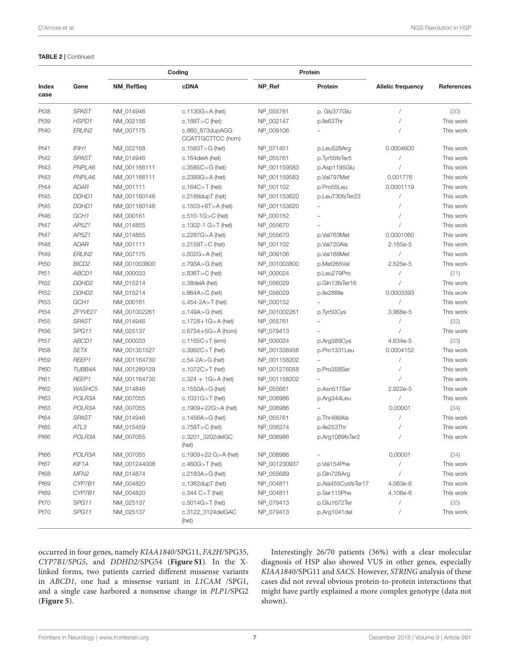#### TABLE 2 | Continued

|               |                   | Coding       |                                      |              | Protein            |                          |            |
|---------------|-------------------|--------------|--------------------------------------|--------------|--------------------|--------------------------|------------|
| Index<br>case | Gene              | NM_RefSeq    | <b>cDNA</b>                          | NP_Ref       | Protein            | <b>Allelic frequency</b> | References |
| Pt38          | <b>SPAST</b>      | NM 014946    | $c.1130G > A$ (het)                  | NP_055761    | p. Gly377Glu       |                          | (30)       |
| Pt39          | HSPD1             | NM_002156    | c.188T $>$ C (het)                   | NP_002147    | p.lle63Thr         |                          | This work  |
| Pt40          | ERLIN2            | NM_007175    | c.860_873dupAGG<br>CCATTGCTTCC (hom) | NP_009106    |                    |                          | This work  |
| Pt41          | IFIH1             | NM_022168    | c.1583T $>$ G (het)                  | NP 071451    | p.Leu528Arg        | 0.0004600                | This work  |
| Pt42          | <b>SPAST</b>      | NM_014946    | c.164delA (het)                      | NP_055761    | p.Tyr55fsTer5      |                          | This work  |
| Pt43          | PNPLA6            | NM_001166111 | $c.3585C > G$ (het)                  | NP_001159583 | p.Asp1195Glu       |                          | This work  |
| Pt43          | PNPLA6            | NM_001166111 | c.2389 $G$ >A (het)                  | NP_001159583 | p.Val797Met        | 0.001776                 | This work  |
| Pt44          | ADAR              | NM_001111    | c.164 $C > T$ (het)                  | NP_001102    | p.Pro55Leu         | 0.0001119                | This work  |
| Pt45          | DDHD1             | NM_001160148 | $c.2189$ dupT (het)                  | NP_001153620 | p.Leu730fsTer23    |                          | This work  |
| Pt45          | DDHD1             | NM_001160148 | c.1503+6T>A (het)                    | NP_001153620 |                    |                          | This work  |
| Pt46          | GCH1              | NM_000161    | $c.510-1G > C$ (het)                 | NP_000152    |                    |                          | This work  |
| Pt47          | AP5Z1             | NM_014855    | c.1302-1 $G > T$ (het)               | NP_055670    |                    |                          | This work  |
| Pt47          | AP5Z1             | NM_014855    | $c.2287G > A$ (het)                  | NP 055670    | p.Val763Met        | 0.0001060                | This work  |
| Pt48          | <b>ADAR</b>       | NM_001111    | $c.2159T > C$ (het)                  | NP_001102    | p.Val720Ala        | 2.165e-5                 | This work  |
| Pt49          | ERLIN2            | NM_007175    | $c.502G > A$ (het)                   | NP_009106    | p.Val168Met        | $\sqrt{2}$               | This work  |
| Pt50          | BICD <sub>2</sub> | NM_001003800 | $c.793A > G$ (het)                   | NP_001003800 | p.Met265Val        | 2.525e-5                 | This work  |
| Pt51          | ABCD1             | NM_000033    | $c.836T > C$ (het)                   | NP_000024    | p.Leu279Pro        | $\sqrt{2}$               | (31)       |
| Pt52          | DDHD <sub>2</sub> | NM 015214    | c.38delA (het)                       | NP_056029    | p.Gln13fsTer16     |                          | This work  |
| Pt52          | DDHD <sub>2</sub> | NM_015214    | $c.864A > C$ (het)                   | NP_056029    | p.lle288lle        | 0.0003393                | This work  |
| Pt53          | GCH1              | NM_000161    | c.454-2A $>$ T (het)                 | NP_000152    |                    | $\sqrt{2}$               | This work  |
| Pt54          | ZFYVE27           | NM_001002261 | $c.149A > G$ (het)                   | NP_001002261 | p.Tyr50Cys         | 3.968e-5                 | This work  |
| Pt55          | <b>SPAST</b>      | NM_014946    | c.1728+1G>A (het)                    | NP_055761    |                    |                          | (32)       |
| Pt56          | SPG11             | NM_025137    | c.6754+5G>A (hom)                    | NP_079413    |                    |                          | This work  |
| Pt57          | ABCD1             | NM_000033    | c.1165 $C>T$ (emi)                   | NP_000024    | p.Arg389Cys        | 4.634e-5                 | (33)       |
| Pt58          | <b>SETX</b>       | NM_001351527 | $c.3992C > T$ (het)                  | NP_001338456 | p.Pro1331Leu       | 0.0004152                | This work  |
| Pt59          | REEP1             | NM_001164730 | $c.54 - 2A > G$ (het)                | NP_001158202 |                    |                          | This work  |
| Pt60          | TUBB4A            | NM_001289129 | c.1072 $C > T$ (het)                 | NP_001276058 | p.Pro358Ser        |                          | This work  |
| Pt61          | REEP1             | NM_001164730 | $c.324 + 1G > A$ (het)               | NP_001158202 |                    |                          | This work  |
| Pt62          | WASHC5            | NM_014846    | c.1550A $>$ G (het)                  | NP_055661    | p.Asn517Ser        | 2.922e-5                 | This work  |
| Pt63          | POLR3A            | NM_007055    | $c.1031G > T$ (het)                  | NP_008986    | p.Arg344Leu        | $\sqrt{2}$               | This work  |
| Pt63          | POLR3A            | NM_007055    | c.1909+22G>A (het)                   | NP 008986    |                    | 0,00001                  | (34)       |
| Pt64          | <b>SPAST</b>      | NM_014946    | c.1456A $>$ G (het)                  | NP_055761    | p.Thr486Ala        |                          | This work  |
| Pt65          | ATL3              | NM_015459    | $c.758T > C$ (het)                   | NP_056274    | p.lle253Thr        |                          | This work  |
| Pt66          | POLR3A            | NM 007055    | c.3201_3202delGC<br>(het)            | NP_008986    | p.Arg1069fsTer2    |                          | This work  |
| Pt66          | POLR3A            | NM_007055    | c.1909+22 $G > A$ (het)              | NP_008986    | $\qquad \qquad -$  | 0,00001                  | (34)       |
| Pt67          | KIF1A             | NM_001244008 | $c.460G > T$ (het)                   | NP_001230937 | p.Val154Phe        |                          | This work  |
| Pt68          | MFN <sub>2</sub>  | NM_014874    | c.2183A $>$ G (het)                  | NP_055689    | p.Gln728Arg        |                          | This work  |
| Pt69          | CYP7B1            | NM_004820    | c.1362dupT (het)                     | NP_004811    | p.Ala455CysfsTer17 | 4.063e-6                 | This work  |
| Pt69          | CYP7B1            | NM_004820    | $c.344 C > T$ (het)                  | NP_004811    | p.Ser115Phe        | 4.106e-6                 | This work  |
| Pt70          | SPG11             | NM_025137    | $c.5014G > T$ (het)                  | NP_079413    | p.Glu1672Ter       | $\prime$                 | (35)       |
| Pt70          | SPG11             | NM_025137    | c.3122_3124delGAC<br>(het)           | NP_079413    | p.Arg1041del       |                          | This work  |

occurred in four genes, namely KIAA1840/SPG11, FA2H/SPG35, CYP7B1/SPG5, and DDHD2/SPG54 (**[Figure S1](#page-10-13)**). In the Xlinked forms, two patients carried different missense variants in ABCD1, one had a missense variant in L1CAM /SPG1, and a single case harbored a nonsense change in PLP1/SPG2 (**[Figure 5](#page-8-0)**).

Interestingly 26/70 patients (36%) with a clear molecular diagnosis of HSP also showed VUS in other genes, especially KIAA1840/SPG11 and SACS. However, STRING analysis of these cases did not reveal obvious protein-to-protein interactions that might have partly explained a more complex genotype (data not shown).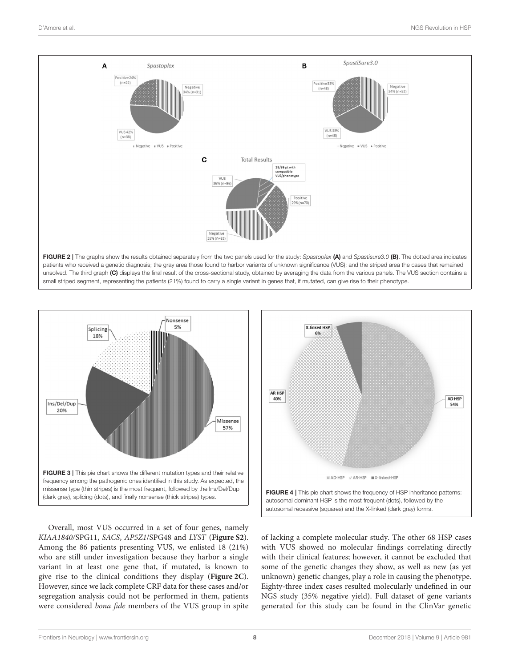

<span id="page-7-0"></span>

<span id="page-7-1"></span>Overall, most VUS occurred in a set of four genes, namely KIAA1840/SPG11, SACS, AP5Z1/SPG48 and LYST (**[Figure S2](#page-10-14)**). Among the 86 patients presenting VUS, we enlisted 18 (21%) who are still under investigation because they harbor a single variant in at least one gene that, if mutated, is known to give rise to the clinical conditions they display (**[Figure 2C](#page-7-0)**). However, since we lack complete CRF data for these cases and/or segregation analysis could not be performed in them, patients were considered bona fide members of the VUS group in spite



<span id="page-7-2"></span>of lacking a complete molecular study. The other 68 HSP cases with VUS showed no molecular findings correlating directly with their clinical features; however, it cannot be excluded that some of the genetic changes they show, as well as new (as yet unknown) genetic changes, play a role in causing the phenotype. Eighty-three index cases resulted molecularly undefined in our NGS study (35% negative yield). Full dataset of gene variants generated for this study can be found in the ClinVar genetic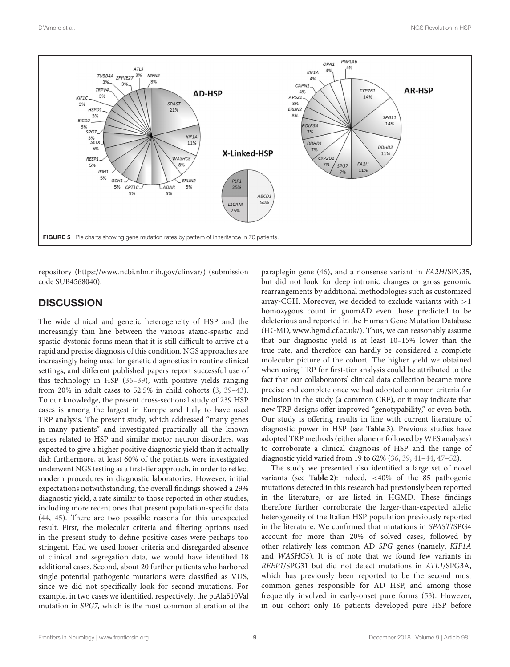

<span id="page-8-0"></span>repository [\(https://www.ncbi.nlm.nih.gov/clinvar/\)](https://www.ncbi.nlm.nih.gov/clinvar/) (submission code SUB4568040).

# **DISCUSSION**

The wide clinical and genetic heterogeneity of HSP and the increasingly thin line between the various ataxic-spastic and spastic-dystonic forms mean that it is still difficult to arrive at a rapid and precise diagnosis of this condition. NGS approaches are increasingly being used for genetic diagnostics in routine clinical settings, and different published papers report successful use of this technology in HSP [\(36](#page-11-4)[–39\)](#page-11-5), with positive yields ranging from 20% in adult cases to 52.5% in child cohorts [\(3,](#page-10-2) [39–](#page-11-5)[43\)](#page-11-6). To our knowledge, the present cross-sectional study of 239 HSP cases is among the largest in Europe and Italy to have used TRP analysis. The present study, which addressed "many genes in many patients" and investigated practically all the known genes related to HSP and similar motor neuron disorders, was expected to give a higher positive diagnostic yield than it actually did; furthermore, at least 60% of the patients were investigated underwent NGS testing as a first-tier approach, in order to reflect modern procedures in diagnostic laboratories. However, initial expectations notwithstanding, the overall findings showed a 29% diagnostic yield, a rate similar to those reported in other studies, including more recent ones that present population-specific data [\(44,](#page-11-7) [45\)](#page-11-8). There are two possible reasons for this unexpected result. First, the molecular criteria and filtering options used in the present study to define positive cases were perhaps too stringent. Had we used looser criteria and disregarded absence of clinical and segregation data, we would have identified 18 additional cases. Second, about 20 further patients who harbored single potential pathogenic mutations were classified as VUS, since we did not specifically look for second mutations. For example, in two cases we identified, respectively, the p.Ala510Val mutation in SPG7, which is the most common alteration of the paraplegin gene [\(46\)](#page-11-9), and a nonsense variant in FA2H/SPG35, but did not look for deep intronic changes or gross genomic rearrangements by additional methodologies such as customized array-CGH. Moreover, we decided to exclude variants with  $>1$ homozygous count in gnomAD even those predicted to be deleterious and reported in the Human Gene Mutation Database (HGMD, [www.hgmd.cf.ac.uk/\)](www.hgmd.cf.ac.uk/). Thus, we can reasonably assume that our diagnostic yield is at least 10–15% lower than the true rate, and therefore can hardly be considered a complete molecular picture of the cohort. The higher yield we obtained when using TRP for first-tier analysis could be attributed to the fact that our collaborators' clinical data collection became more precise and complete once we had adopted common criteria for inclusion in the study (a common CRF), or it may indicate that new TRP designs offer improved "genotypability," or even both. Our study is offering results in line with current literature of diagnostic power in HSP (see **[Table 3](#page-9-0)**). Previous studies have adopted TRP methods (either alone or followed by WES analyses) to corroborate a clinical diagnosis of HSP and the range of diagnostic yield varied from 19 to 62% [\(36,](#page-11-4) [39,](#page-11-5) [41](#page-11-10)[–44,](#page-11-7) [47](#page-11-11)[–52\)](#page-12-0).

The study we presented also identified a large set of novel variants (see **[Table 2](#page-5-0)**): indeed, <40% of the 85 pathogenic mutations detected in this research had previously been reported in the literature, or are listed in HGMD. These findings therefore further corroborate the larger-than-expected allelic heterogeneity of the Italian HSP population previously reported in the literature. We confirmed that mutations in SPAST/SPG4 account for more than 20% of solved cases, followed by other relatively less common AD SPG genes (namely, KIF1A and WASHC5). It is of note that we found few variants in REEP1/SPG31 but did not detect mutations in ATL1/SPG3A, which has previously been reported to be the second most common genes responsible for AD HSP, and among those frequently involved in early-onset pure forms [\(53\)](#page-12-1). However, in our cohort only 16 patients developed pure HSP before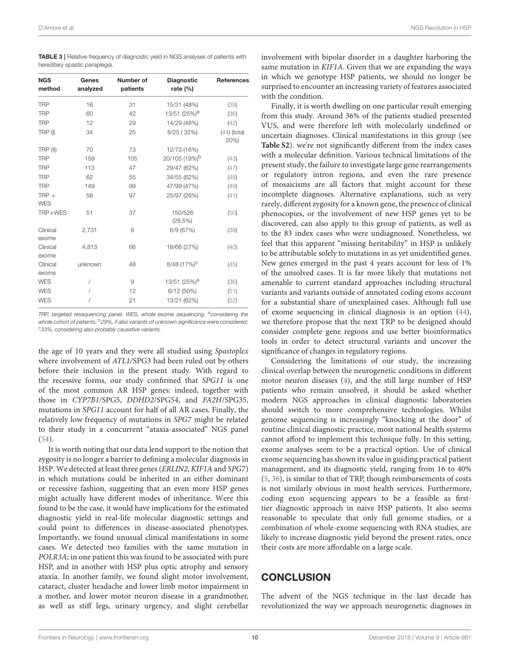<span id="page-9-0"></span>TABLE 3 | Relative frequency of diagnostic yield in NGS analyses of patients with hereditary spastic paraplegia.

| <b>NGS</b>            | Genes    | Number of | <b>Diagnostic</b>         | References            |  |
|-----------------------|----------|-----------|---------------------------|-----------------------|--|
| method                | analyzed | patients  | rate $(%)$                |                       |  |
| <b>TRP</b>            | 16       | 31        | 15/31 (48%)               | (39)                  |  |
| <b>TRP</b>            | 60       | 42        | 13/51 (25%) <sup>a</sup>  | (36)                  |  |
| <b>TRP</b>            | 12       | 29        | 14/29 (48%)               | (42)                  |  |
| TRP(I)                | 34       | 25        | 8/25 (32%)                | $(44)$ (total<br>20%) |  |
| TRP (II)              | 70       | 73        | 12/73 (16%)               |                       |  |
| <b>TRP</b>            | 159      | 105       | 20/105 (19%) <sup>b</sup> | (43)                  |  |
| <b>TRP</b>            | 113      | 47        | 29/47 (62%)               | (47)                  |  |
| <b>TRP</b>            | 62       | 55        | 34/55 (62%)               | (48)                  |  |
| <b>TRP</b>            | 149      | 99        | 47/99 (47%)               | (49)                  |  |
| $TRP +$<br><b>WES</b> | 58       | 97        | 25/97 (26%)               | (41)                  |  |
| TRP+WES               | 51       | 37        | 150/526<br>(28.5%)        | (50)                  |  |
| Clinical<br>exome     | 2,731    | 9         | 6/9 (67%)                 | (39)                  |  |
| Clinical<br>exome     | 4,813    | 66        | 18/66 (27%)               | (40)                  |  |
| Clinical<br>exome     | unknown  | 48        | 8/48 (17%) <sup>c</sup>   | (45)                  |  |
| <b>WES</b>            | 7        | 9         | 13/51 (25%) <sup>a</sup>  | (36)                  |  |
| <b>WES</b>            | 1        | 12        | 6/12(50%)                 | (51)                  |  |
| <b>WES</b>            | Ι        | 21        | 13/21 (62%)               | (52)                  |  |

TRP, targeted resequencing panel; WES, whole exome sequencing. <sup>a</sup>considering the whole cohort of patients;  $b29\%$ , if also variants of unknown significance were considered; c33%, considering also probably causative variants.

the age of 10 years and they were all studied using Spastoplex where involvement of ATL1/SPG3 had been ruled out by others before their inclusion in the present study. With regard to the recessive forms, our study confirmed that SPG11 is one of the most common AR HSP genes: indeed, together with those in CYP7B1/SPG5, DDHD2/SPG54, and FA2H/SPG35, mutations in SPG11 account for half of all AR cases. Finally, the relatively low frequency of mutations in SPG7 might be related to their study in a concurrent "ataxia-associated" NGS panel [\(54\)](#page-12-6).

It is worth noting that our data lend support to the notion that zygosity is no longer a barrier to defining a molecular diagnosis in HSP. We detected at least three genes (ERLIN2, KIF1A and SPG7) in which mutations could be inherited in an either dominant or recessive fashion, suggesting that an even more HSP genes might actually have different modes of inheritance. Were this found to be the case, it would have implications for the estimated diagnostic yield in real-life molecular diagnostic settings and could point to differences in disease-associated phenotypes. Importantly, we found unusual clinical manifestations in some cases. We detected two families with the same mutation in POLR3A; in one patient this was found to be associated with pure HSP, and in another with HSP plus optic atrophy and sensory ataxia. In another family, we found slight motor involvement, cataract, cluster headache and lower limb motor impairment in a mother, and lower motor neuron disease in a grandmother, as well as stiff legs, urinary urgency, and slight cerebellar involvement with bipolar disorder in a daughter harboring the same mutation in KIF1A. Given that we are expanding the ways in which we genotype HSP patients, we should no longer be surprised to encounter an increasing variety of features associated with the condition.

Finally, it is worth dwelling on one particular result emerging from this study. Around 36% of the patients studied presented VUS, and were therefore left with molecularly undefined or uncertain diagnoses. Clinical manifestations in this group (see **[Table S2](#page-10-15)**). we're not significantly different from the index cases with a molecular definition. Various technical limitations of the present study, the failure to investigate large gene rearrangements or regulatory intron regions, and even the rare presence of mosaicisms are all factors that might account for these incomplete diagnoses. Alternative explanations, such as very rarely, different zygosity for a known gene, the presence of clinical phenocopies, or the involvement of new HSP genes yet to be discovered, can also apply to this group of patients, as well as to the 83 index cases who were undiagnosed. Nonetheless, we feel that this apparent "missing heritability" in HSP is unlikely to be attributable solely to mutations in as yet unidentified genes. New genes emerged in the past 4 years account for less of 1% of the unsolved cases. It is far more likely that mutations not amenable to current standard approaches including structural variants and variants outside of annotated coding exons account for a substantial share of unexplained cases. Although full use of exome sequencing in clinical diagnosis is an option [\(44\)](#page-11-7), we therefore propose that the next TRP to be designed should consider complete gene regions and use better bioinformatics tools in order to detect structural variants and uncover the significance of changes in regulatory regions.

Considering the limitations of our study, the increasing clinical overlap between the neurogenetic conditions in different motor neuron diseases [\(4\)](#page-10-3), and the still large number of HSP patients who remain unsolved, it should be asked whether modern NGS approaches in clinical diagnostic laboratories should switch to more comprehensive technologies. Whilst genome sequencing is increasingly "knocking at the door" of routine clinical diagnostic practice, most national health systems cannot afford to implement this technique fully. In this setting, exome analyses seem to be a practical option. Use of clinical exome sequencing has shown its value in guiding practical patient management, and its diagnostic yield, ranging from 16 to 40% [\(5,](#page-10-4) [36\)](#page-11-4), is similar to that of TRP, though reimbursements of costs is not similarly obvious in most health services. Furthermore, coding exon sequencing appears to be a feasible as firsttier diagnostic approach in naive HSP patients. It also seems reasonable to speculate that only full genome studies, or a combination of whole-exome sequencing with RNA studies, are likely to increase diagnostic yield beyond the present rates, once their costs are more affordable on a large scale.

### **CONCLUSION**

The advent of the NGS technique in the last decade has revolutionized the way we approach neurogenetic diagnoses in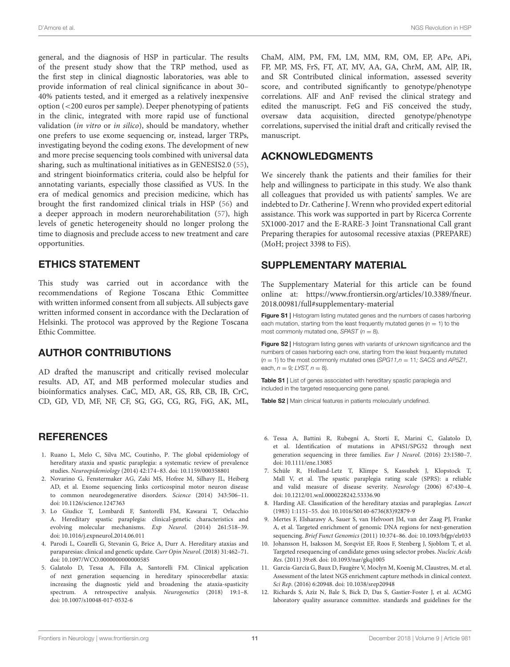general, and the diagnosis of HSP in particular. The results of the present study show that the TRP method, used as the first step in clinical diagnostic laboratories, was able to provide information of real clinical significance in about 30– 40% patients tested, and it emerged as a relatively inexpensive option (<200 euros per sample). Deeper phenotyping of patients in the clinic, integrated with more rapid use of functional validation (in vitro or in silico), should be mandatory, whether one prefers to use exome sequencing or, instead, larger TRPs, investigating beyond the coding exons. The development of new and more precise sequencing tools combined with universal data sharing, such as multinational initiatives as in GENESIS2.0 [\(55\)](#page-12-7), and stringent bioinformatics criteria, could also be helpful for annotating variants, especially those classified as VUS. In the era of medical genomics and precision medicine, which has brought the first randomized clinical trials in HSP [\(56\)](#page-12-8) and a deeper approach in modern neurorehabilitation [\(57\)](#page-12-9), high levels of genetic heterogeneity should no longer prolong the time to diagnosis and preclude access to new treatment and care opportunities.

# ETHICS STATEMENT

This study was carried out in accordance with the recommendations of Regione Toscana Ethic Committee with written informed consent from all subjects. All subjects gave written informed consent in accordance with the Declaration of Helsinki. The protocol was approved by the Regione Toscana Ethic Committee.

# AUTHOR CONTRIBUTIONS

AD drafted the manuscript and critically revised molecular results. AD, AT, and MB performed molecular studies and bioinformatics analyses. CaC, MD, AR, GS, RB, CB, IB, CrC, CD, GD, VD, MF, NF, CF, SG, GG, CG, RG, FiG, AK, ML,

### **REFERENCES**

- <span id="page-10-0"></span>1. Ruano L, Melo C, Silva MC, Coutinho, P. The global epidemiology of hereditary ataxia and spastic paraplegia: a systematic review of prevalence studies. Neuroepidemiology (2014) 42:174–83. doi: [10.1159/000358801](https://doi.org/10.1159/000358801)
- <span id="page-10-1"></span>2. Novarino G, Fenstermaker AG, Zaki MS, Hofree M, Silhavy JL, Heiberg AD, et al. Exome sequencing links corticospinal motor neuron disease to common neurodegenerative disorders. Science (2014) 343:506–11. doi: [10.1126/science.1247363](https://doi.org/10.1126/science.1247363)
- <span id="page-10-2"></span>3. Lo Giudice T, Lombardi F, Santorelli FM, Kawarai T, Orlacchio A. Hereditary spastic paraplegia: clinical-genetic characteristics and evolving molecular mechanisms. Exp Neurol. (2014) 261:518–39. doi: [10.1016/j.expneurol.2014.06.011](https://doi.org/10.1016/j.expneurol.2014.06.011)
- <span id="page-10-3"></span>4. Parodi L, Coarelli G, Stevanin G, Brice A, Durr A. Hereditary ataxias and paraparesias: clinical and genetic update. Curr Opin Neurol. (2018) 31:462–71. doi: [10.1097/WCO.0000000000000585](https://doi.org/10.1097/WCO.0000000000000585)
- <span id="page-10-4"></span>5. Galatolo D, Tessa A, Filla A, Santorelli FM. Clinical application of next generation sequencing in hereditary spinocerebellar ataxia: increasing the diagnostic yield and broadening the ataxia-spasticity spectrum. A retrospective analysis. Neurogenetics (2018) 19:1–8. doi: [10.1007/s10048-017-0532-6](https://doi.org/10.1007/s10048-017-0532-6)

ChaM, AlM, PM, FM, LM, MM, RM, OM, EP, APe, APi, FP, MP, MS, FrS, FT, AT, MV, AA, GA, ChrM, AM, AlP, IR, and SR Contributed clinical information, assessed severity score, and contributed significantly to genotype/phenotype correlations. AlF and AnF revised the clinical strategy and edited the manuscript. FeG and FiS conceived the study, oversaw data acquisition, directed genotype/phenotype correlations, supervised the initial draft and critically revised the manuscript.

## ACKNOWLEDGMENTS

We sincerely thank the patients and their families for their help and willingness to participate in this study. We also thank all colleagues that provided us with patients' samples. We are indebted to Dr. Catherine J. Wrenn who provided expert editorial assistance. This work was supported in part by Ricerca Corrente 5X1000-2017 and the E-RARE-3 Joint Transnational Call grant Preparing therapies for autosomal recessive ataxias (PREPARE) (MoH; project 3398 to FiS).

### SUPPLEMENTARY MATERIAL

The Supplementary Material for this article can be found [online at: https://www.frontiersin.org/articles/10.3389/fneur.](https://www.frontiersin.org/articles/10.3389/fneur.2018.00981/full#supplementary-material) 2018.00981/full#supplementary-material

<span id="page-10-13"></span>Figure S1 | Histogram listing mutated genes and the numbers of cases harboring each mutation, starting from the least frequently mutated genes ( $n = 1$ ) to the most commonly mutated one, SPAST ( $n = 8$ ).

<span id="page-10-14"></span>Figure S2 | Histogram listing genes with variants of unknown significance and the numbers of cases harboring each one, starting from the least frequently mutated  $(n = 1)$  to the most commonly mutated ones  $(SPG11, n = 11; SACS$  and  $AP5Z1$ , each,  $n = 9$ ; LYST,  $n = 8$ ).

<span id="page-10-8"></span>Table S1 | List of genes associated with hereditary spastic paraplegia and included in the targeted resequencing gene panel.

<span id="page-10-15"></span>Table S2 | Main clinical features in patients molecularly undefined.

- <span id="page-10-5"></span>6. Tessa A, Battini R, Rubegni A, Storti E, Marini C, Galatolo D, et al. Identification of mutations in AP4S1/SPG52 through next generation sequencing in three families. Eur J Neurol. (2016) 23:1580–7. doi: [10.1111/ene.13085](https://doi.org/10.1111/ene.13085)
- <span id="page-10-6"></span>7. Schüle R, Holland-Letz T, Klimpe S, Kassubek J, Klopstock T, Mall V, et al. The spastic paraplegia rating scale (SPRS): a reliable and valid measure of disease severity. Neurology (2006) 67:430–4. doi: [10.1212/01.wnl.0000228242.53336.90](https://doi.org/10.1212/01.wnl.0000228242.53336.90)
- <span id="page-10-7"></span>8. Harding AE. Classification of the hereditary ataxias and paraplegias. Lancet (1983) 1:1151–55. doi: [10.1016/S0140-6736\(83\)92879-9](https://doi.org/10.1016/S0140-6736(83)92879-9)
- <span id="page-10-9"></span>9. Mertes F, Elsharawy A, Sauer S, van Helvoort JM, van der Zaag PJ, Franke A, et al. Targeted enrichment of genomic DNA regions for next-generation sequencing. Brief Funct Genomics (2011) 10:374–86. doi: [10.1093/bfgp/elr033](https://doi.org/10.1093/bfgp/elr033)
- <span id="page-10-10"></span>10. Johansson H, Isaksson M, Sorqvist EF, Roos F, Stenberg J, Sjoblom T, et al. Targeted resequencing of candidate genes using selector probes. Nucleic Acids Res. (2011) 39:e8. doi: [10.1093/nar/gkq1005](https://doi.org/10.1093/nar/gkq1005)
- <span id="page-10-11"></span>11. García-García G, Baux D, Faugère V, Moclyn M, Koenig M, Claustres, M. et al. Assessment of the latest NGS enrichment capture methods in clinical context. Sci Rep. (2016) 6:20948. doi: [10.1038/srep20948](https://doi.org/10.1038/srep20948)
- <span id="page-10-12"></span>12. Richards S, Aziz N, Bale S, Bick D, Das S, Gastier-Foster J, et al. ACMG laboratory quality assurance committee. standards and guidelines for the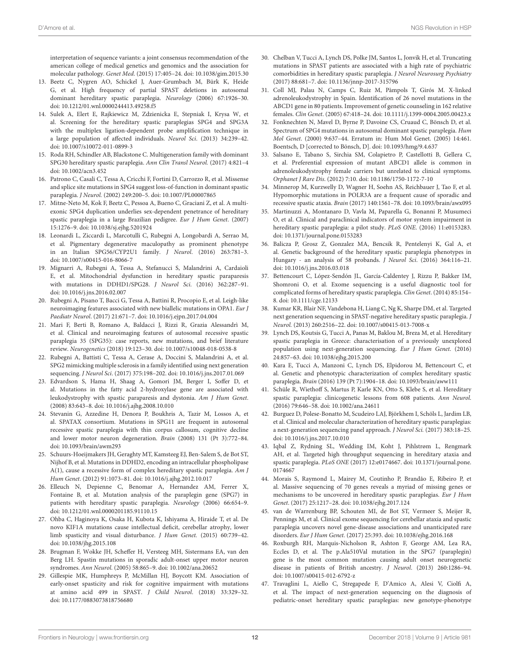interpretation of sequence variants: a joint consensus recommendation of the american college of medical genetics and genomics and the association for molecular pathology. Genet Med. (2015) 17:405–24. doi: [10.1038/gim.2015.30](https://doi.org/10.1038/gim.2015.30)

- <span id="page-11-0"></span>13. Beetz C, Nygren AO, Schickel J, Auer-Grumbach M, Bürk K, Heide G, et al. High frequency of partial SPAST deletions in autosomal dominant hereditary spastic paraplegia. Neurology (2006) 67:1926–30. doi: [10.1212/01.wnl.0000244413.49258.f5](https://doi.org/10.1212/01.wnl.0000244413.49258.f5)
- <span id="page-11-1"></span>14. Sulek A, Elert E, Rajkiewicz M, Zdzienicka E, Stepniak I, Krysa W, et al. Screening for the hereditary spastic paraplegias SPG4 and SPG3A with the multiplex ligation-dependent probe amplification technique in a large population of affected individuals. Neurol Sci. (2013) 34:239–42. doi: [10.1007/s10072-011-0899-3](https://doi.org/10.1007/s10072-011-0899-3)
- <span id="page-11-2"></span>15. Roda RH, Schindler AB, Blackstone C. Multigeneration family with dominant SPG30 hereditary spastic paraplegia. Ann Clin Transl Neurol. (2017) 4:821–4 doi: [10.1002/acn3.452](https://doi.org/10.1002/acn3.452)
- 16. Patrono C, Casali C, Tessa A, Cricchi F, Fortini D, Carrozzo R, et al. Missense and splice site mutations in SPG4 suggest loss-of-function in dominant spastic paraplegia. J Neurol. (2002) 249:200–5. doi: [10.1007/PL00007865](https://doi.org/10.1007/PL00007865)
- <span id="page-11-3"></span>17. Mitne-Neto M, Kok F, Beetz C, Pessoa A, Bueno C, Graciani Z, et al. A multiexonic SPG4 duplication underlies sex-dependent penetrance of hereditary spastic paraplegia in a large Brazilian pedigree. Eur J Hum Genet. (2007) 15:1276–9. doi: [10.1038/sj.ejhg.5201924](https://doi.org/10.1038/sj.ejhg.5201924)
- 18. Leonardi L, Ziccardi L, Marcotulli C, Rubegni A, Longobardi A, Serrao M, et al. Pigmentary degenerative maculopathy as prominent phenotype in an Italian SPG56/CYP2U1 family. J Neurol. (2016) 263:781–3. doi: [10.1007/s00415-016-8066-7](https://doi.org/10.1007/s00415-016-8066-7)
- 19. Mignarri A, Rubegni A, Tessa A, Stefanucci S, Malandrini A, Cardaioli E, et al. Mitochondrial dysfunction in hereditary spastic paraparesis with mutations in DDHD1/SPG28. J Neurol Sci. (2016) 362:287–91. doi: [10.1016/j.jns.2016.02.007](https://doi.org/10.1016/j.jns.2016.02.007)
- 20. Rubegni A, Pisano T, Bacci G, Tessa A, Battini R, Procopio E, et al. Leigh-like neuroimaging features associated with new biallelic mutations in OPA1. Eur J Paediatr Neurol. (2017) 21:671–7. doi: [10.1016/j.ejpn.2017.04.004](https://doi.org/10.1016/j.ejpn.2017.04.004)
- 21. Mari F, Berti B, Romano A, Baldacci J, Rizzi R, Grazia Alessandrì M, et al. Clinical and neuroimaging features of autosomal recessive spastic paraplegia 35 (SPG35): case reports, new mutations, and brief literature review. Neurogenetics (2018) 19:123–30. doi: [10.1007/s10048-018-0538-8](https://doi.org/10.1007/s10048-018-0538-8)
- 22. Rubegni A, Battisti C, Tessa A, Cerase A, Doccini S, Malandrini A, et al. SPG2 mimicking multiple sclerosis in a family identified using next generation sequencing. J Neurol Sci. (2017) 375:198–202. doi: [10.1016/j.jns.2017.01.069](https://doi.org/10.1016/j.jns.2017.01.069)
- 23. Edvardson S, Hama H, Shaag A, Gomori JM, Berger I, Soffer D, et al. Mutations in the fatty acid 2-hydroxylase gene are associated with leukodystrophy with spastic paraparesis and dystonia. Am J Hum Genet. (2008) 83:643–8. doi: [10.1016/j.ajhg.2008.10.010](https://doi.org/10.1016/j.ajhg.2008.10.010)
- 24. Stevanin G, Azzedine H, Denora P, Boukhris A, Tazir M, Lossos A, et al. SPATAX consortium. Mutations in SPG11 are frequent in autosomal recessive spastic paraplegia with thin corpus callosum, cognitive decline and lower motor neuron degeneration. Brain (2008) 131 (Pt 3):772–84. doi: [10.1093/brain/awm293](https://doi.org/10.1093/brain/awm293)
- 25. Schuurs-Hoeijmakers JH, Geraghty MT, Kamsteeg EJ, Ben-Salem S, de Bot ST, Nijhof B, et al. Mutations in DDHD2, encoding an intracellular phospholipase A(1), cause a recessive form of complex hereditary spastic paraplegia. Am J Hum Genet. (2012) 91:1073–81. doi: [10.1016/j.ajhg.2012.10.017](https://doi.org/10.1016/j.ajhg.2012.10.017)
- 26. Elleuch N, Depienne C, Benomar A, Hernandez AM, Ferrer X, Fontaine B, et al. Mutation analysis of the paraplegin gene (SPG7) in patients with hereditary spastic paraplegia. Neurology (2006) 66:654–9. doi: [10.1212/01.wnl.0000201185.91110.15](https://doi.org/10.1212/01.wnl.0000201185.91110.15)
- 27. Ohba C, Haginoya K, Osaka H, Kubota K, Ishiyama A, Hiraide T, et al. De novo KIF1A mutations cause intellectual deficit, cerebellar atrophy, lower limb spasticity and visual disturbance. J Hum Genet. (2015) 60:739–42. doi: [10.1038/jhg.2015.108](https://doi.org/10.1038/jhg.2015.108)
- 28. Brugman F, Wokke JH, Scheffer H, Versteeg MH, Sistermans EA, van den Berg LH. Spastin mutations in sporadic adult-onset upper motor neuron syndromes. Ann Neurol. (2005) 58:865–9. doi: [10.1002/ana.20652](https://doi.org/10.1002/ana.20652)
- 29. Gillespie MK, Humphreys P, McMillan HJ, Boycott KM. Association of early-onset spasticity and risk for cognitive impairment with mutations at amino acid 499 in SPAST. J Child Neurol. (2018) 33:329–32. doi: [10.1177/0883073818756680](https://doi.org/10.1177/0883073818756680)
- 30. Chelban V, Tucci A, Lynch DS, Polke JM, Santos L, Jonvik H, et al. Truncating mutations in SPAST patients are associated with a high rate of psychiatric comorbidities in hereditary spastic paraplegia. J Neurol Neurosurg Psychiatry (2017) 88:681–7. doi: [10.1136/jnnp-2017-315796](https://doi.org/10.1136/jnnp-2017-315796)
- 31. Coll MJ, Palau N, Camps C, Ruiz M, Pàmpols T, Girós M. X-linked adrenoleukodystrophy in Spain. Identification of 26 novel mutations in the ABCD1 gene in 80 patients. Improvement of genetic counseling in 162 relative females. Clin Genet. (2005) 67:418–24. doi: [10.1111/j.1399-0004.2005.00423.x](https://doi.org/10.1111/j.1399-0004.2005.00423.x)
- 32. Fonknechten N, Mavel D, Byrne P, Davoine CS, Cruaud C, Bönsch D, et al. Spectrum of SPG4 mutations in autosomal dominant spastic paraplegia. Hum Mol Genet. (2000) 9:637–44. Erratum in: Hum Mol Genet. (2005) 14:461. Boentsch, D [corrected to Bönsch, D]. doi: [10.1093/hmg/9.4.637](https://doi.org/10.1093/hmg/9.4.637)
- 33. Salsano E, Tabano S, Sirchia SM, Colapietro P, Castellotti B, Gellera C, et al. Preferential expression of mutant ABCD1 allele is common in adrenoleukodystrophy female carriers but unrelated to clinical symptoms. Orphanet J Rare Dis. (2012) 7:10. doi: [10.1186/1750-1172-7-10](https://doi.org/10.1186/1750-1172-7-10)
- 34. Minnerop M, Kurzwelly D, Wagner H, Soehn AS, Reichbauer J, Tao F, et al. Hypomorphic mutations in POLR3A are a frequent cause of sporadic and recessive spastic ataxia. Brain (2017) 140:1561–78. doi: [10.1093/brain/awx095](https://doi.org/10.1093/brain/awx095)
- 35. Martinuzzi A, Montanaro D, Vavla M, Paparella G, Bonanni P, Musumeci O, et al. Clinical and paraclinical indicators of motor system impairment in hereditary spastic paraplegia: a pilot study. PLoS ONE. (2016) 11:e0153283. doi: [10.1371/journal.pone.0153283](https://doi.org/10.1371/journal.pone.0153283)
- <span id="page-11-4"></span>36. Balicza P, Grosz Z, Gonzalez MA, Bencsik R, Pentelenyi K, Gal A, et al. Genetic background of the hereditary spastic paraplegia phenotypes in Hungary - an analysis of 58 probands. J Neurol Sci. (2016) 364:116–21. doi: [10.1016/j.jns.2016.03.018](https://doi.org/10.1016/j.jns.2016.03.018)
- 37. Bettencourt C, López-Sendón JL, García-Caldentey J, Rizzu P, Bakker IM, Shomroni O, et al. Exome sequencing is a useful diagnostic tool for complicated forms of hereditary spastic paraplegia. Clin Genet. (2014) 85:154– 8. doi: [10.1111/cge.12133](https://doi.org/10.1111/cge.12133)
- 38. Kumar KR, Blair NF, Vandebona H, Liang C, Ng K, Sharpe DM, et al. Targeted next generation sequencing in SPAST-negative hereditary spastic paraplegia. J Neurol. (2013) 260:2516–22. doi: [10.1007/s00415-013-7008-x](https://doi.org/10.1007/s00415-013-7008-x)
- <span id="page-11-5"></span>39. Lynch DS, Koutsis G, Tucci A, Panas M, Baklou M, Breza M, et al. Hereditary spastic paraplegia in Greece: characterisation of a previously unexplored population using next-generation sequencing. Eur J Hum Genet. (2016) 24:857–63. doi: [10.1038/ejhg.2015.200](https://doi.org/10.1038/ejhg.2015.200)
- <span id="page-11-13"></span>40. Kara E, Tucci A, Manzoni C, Lynch DS, Elpidorou M, Bettencourt C, et al. Genetic and phenotypic characterization of complex hereditary spastic paraplegia. Brain (2016) 139 (Pt 7):1904–18. doi: [10.1093/brain/aww111](https://doi.org/10.1093/brain/aww111)
- <span id="page-11-10"></span>41. Schüle R, Wiethoff S, Martus P, Karle KN, Otto S, Klebe S, et al. Hereditary spastic paraplegia: clinicogenetic lessons from 608 patients. Ann Neurol. (2016) 79:646–58. doi: [10.1002/ana.24611](https://doi.org/10.1002/ana.24611)
- <span id="page-11-12"></span>42. Burguez D, Polese-Bonatto M, Scudeiro LAJ, Björkhem I, Schöls L, Jardim LB, et al. Clinical and molecular characterization of hereditary spastic paraplegias: a next-generation sequencing panel approach. J Neurol Sci. (2017) 383:18–25. doi: [10.1016/j.jns.2017.10.010](https://doi.org/10.1016/j.jns.2017.10.010)
- <span id="page-11-6"></span>43. Iqbal Z, Rydning SL, Wedding IM, Koht J, Pihlstrøm L, Rengmark AH, et al. Targeted high throughput sequencing in hereditary ataxia and spastic paraplegia. PLoS ONE [\(2017\) 12:e0174667. doi: 10.1371/journal.pone.](https://doi.org/10.1371/journal.pone.0174667) 0174667
- <span id="page-11-7"></span>44. Morais S, Raymond L, Mairey M, Coutinho P, Brandão E, Ribeiro P, et al. Massive sequencing of 70 genes reveals a myriad of missing genes or mechanisms to be uncovered in hereditary spastic paraplegias. Eur J Hum Genet. (2017) 25:1217–28. doi: [10.1038/ejhg.2017.124](https://doi.org/10.1038/ejhg.2017.124)
- <span id="page-11-8"></span>45. van de Warrenburg BP, Schouten MI, de Bot ST, Vermeer S, Meijer R, Pennings M, et al. Clinical exome sequencing for cerebellar ataxia and spastic paraplegia uncovers novel gene-disease associations and unanticipated rare disorders. Eur J Hum Genet. (2017) 25:393. doi: [10.1038/ejhg.2016.168](https://doi.org/10.1038/ejhg.2016.168)
- <span id="page-11-9"></span>46. Roxburgh RH, Marquis-Nicholson R, Ashton F, George AM, Lea RA, Eccles D, et al. The p.Ala510Val mutation in the SPG7 (paraplegin) gene is the most common mutation causing adult onset neurogenetic disease in patients of British ancestry. J Neurol. (2013) 260:1286–94. doi: [10.1007/s00415-012-6792-z](https://doi.org/10.1007/s00415-012-6792-z)
- <span id="page-11-11"></span>47. Travaglini L, Aiello C, Stregapede F, D'Amico A, Alesi V, Ciolfi A, et al. The impact of next-generation sequencing on the diagnosis of pediatric-onset hereditary spastic paraplegias: new genotype-phenotype